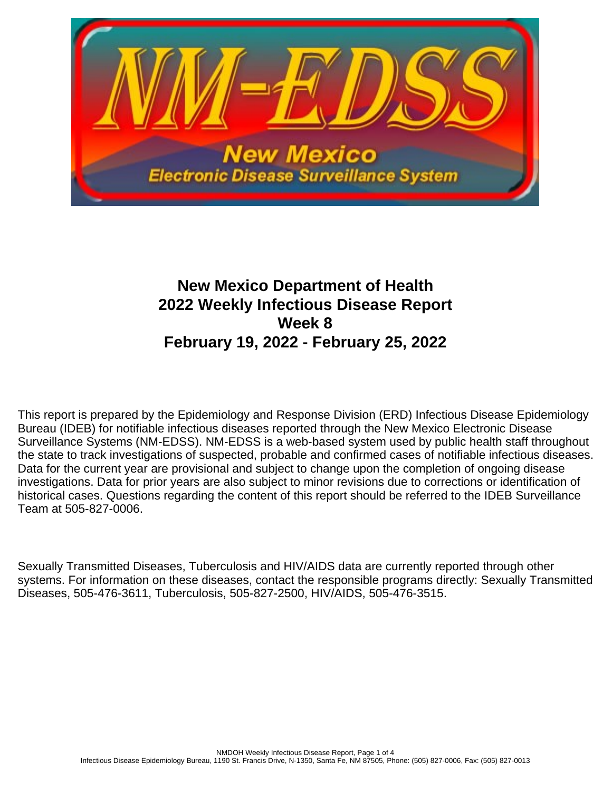

# **New Mexico Department of Health 2022 Weekly Infectious Disease Report Week 8 February 19, 2022 - February 25, 2022**

This report is prepared by the Epidemiology and Response Division (ERD) Infectious Disease Epidemiology Bureau (IDEB) for notifiable infectious diseases reported through the New Mexico Electronic Disease Surveillance Systems (NM-EDSS). NM-EDSS is a web-based system used by public health staff throughout the state to track investigations of suspected, probable and confirmed cases of notifiable infectious diseases. Data for the current year are provisional and subject to change upon the completion of ongoing disease investigations. Data for prior years are also subject to minor revisions due to corrections or identification of historical cases. Questions regarding the content of this report should be referred to the IDEB Surveillance Team at 505-827-0006.

Sexually Transmitted Diseases, Tuberculosis and HIV/AIDS data are currently reported through other systems. For information on these diseases, contact the responsible programs directly: Sexually Transmitted Diseases, 505-476-3611, Tuberculosis, 505-827-2500, HIV/AIDS, 505-476-3515.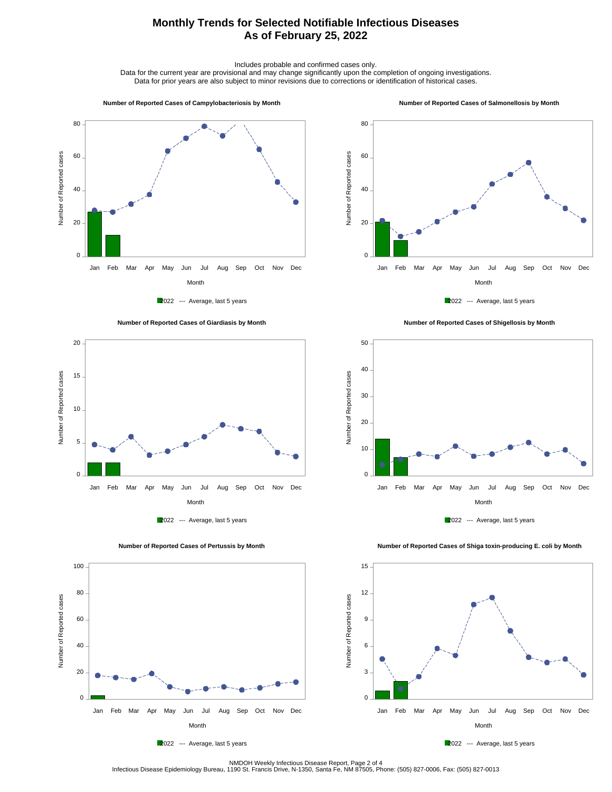## **Monthly Trends for Selected Notifiable Infectious Diseases As of February 25, 2022**

Includes probable and confirmed cases only.

Data for the current year are provisional and may change significantly upon the completion of ongoing investigations. Data for prior years are also subject to minor revisions due to corrections or identification of historical cases.

#### **Number of Reported Cases of Campylobacteriosis by Month**

#### **Number of Reported Cases of Salmonellosis by Month**











 **Number of Reported Cases of Shigellosis by Month**





 **Number of Reported Cases of Shiga toxin-producing E. coli by Month**







NMDOH Weekly Infectious Disease Report, Page 2 of 4<br>Infectious Disease Epidemiology Bureau, 1190 St. Francis Drive, N-1350, Santa Fe, NM 87505, Phone: (505) 827-0006, Fax: (505) 827-0013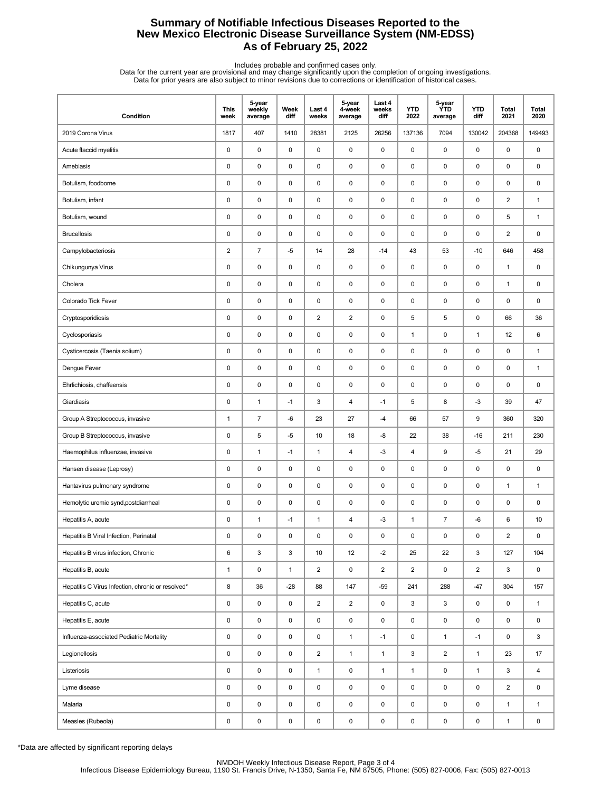## **Summary of Notifiable Infectious Diseases Reported to the New Mexico Electronic Disease Surveillance System (NM-EDSS) As of February 25, 2022**

Includes probable and confirmed cases only.<br>Data for the current year are provisional and may change significantly upon the completion of ongoing investigations.<br>Data for prior years are also subject to minor revisions due

| Condition                                         | <b>This</b><br>week     | 5-year<br>weekly<br>average | Week<br>diff | Last 4<br>weeks         | 5-year<br>4-week<br>average | Last 4<br>weeks<br>diff | <b>YTD</b><br>2022      | 5-year<br><b>YTD</b><br>average | <b>YTD</b><br>diff | Total<br>2021  | <b>Total</b><br>2020 |
|---------------------------------------------------|-------------------------|-----------------------------|--------------|-------------------------|-----------------------------|-------------------------|-------------------------|---------------------------------|--------------------|----------------|----------------------|
| 2019 Corona Virus                                 | 1817                    | 407                         | 1410         | 28381                   | 2125                        | 26256                   | 137136                  | 7094                            | 130042             | 204368         | 149493               |
| Acute flaccid myelitis                            | 0                       | $\mathbf 0$                 | $\pmb{0}$    | 0                       | $\mathsf 0$                 | $\pmb{0}$               | $\pmb{0}$               | 0                               | $\mathsf 0$        | 0              | 0                    |
| Amebiasis                                         | 0                       | $\pmb{0}$                   | $\pmb{0}$    | $\mathsf 0$             | 0                           | $\pmb{0}$               | 0                       | 0                               | $\pmb{0}$          | 0              | 0                    |
| Botulism, foodborne                               | 0                       | $\pmb{0}$                   | 0            | 0                       | 0                           | $\mathbf 0$             | $\pmb{0}$               | 0                               | 0                  | 0              | 0                    |
| Botulism, infant                                  | $\pmb{0}$               | $\mathbf 0$                 | $\pmb{0}$    | $\mathsf 0$             | 0                           | $\pmb{0}$               | $\pmb{0}$               | $\pmb{0}$                       | 0                  | $\overline{2}$ | $\mathbf{1}$         |
| Botulism, wound                                   | 0                       | $\pmb{0}$                   | 0            | 0                       | 0                           | $\mathbf 0$             | $\pmb{0}$               | 0                               | 0                  | 5              | $\mathbf{1}$         |
| <b>Brucellosis</b>                                | 0                       | $\pmb{0}$                   | $\pmb{0}$    | $\mathsf 0$             | $\pmb{0}$                   | $\pmb{0}$               | $\pmb{0}$               | $\mathsf 0$                     | $\pmb{0}$          | $\overline{2}$ | 0                    |
| Campylobacteriosis                                | $\overline{\mathbf{c}}$ | $\boldsymbol{7}$            | $-5$         | 14                      | 28                          | $-14$                   | 43                      | 53                              | $-10$              | 646            | 458                  |
| Chikungunya Virus                                 | $\pmb{0}$               | $\pmb{0}$                   | $\pmb{0}$    | 0                       | $\pmb{0}$                   | $\mathbf 0$             | $\pmb{0}$               | 0                               | $\mathsf 0$        | $\mathbf{1}$   | 0                    |
| Cholera                                           | 0                       | $\mathbf 0$                 | 0            | 0                       | 0                           | 0                       | $\pmb{0}$               | 0                               | $\pmb{0}$          | $\mathbf{1}$   | 0                    |
| Colorado Tick Fever                               | 0                       | $\mathbf 0$                 | 0            | 0                       | 0                           | $\mathbf 0$             | $\pmb{0}$               | 0                               | 0                  | 0              | 0                    |
| Cryptosporidiosis                                 | 0                       | $\pmb{0}$                   | $\pmb{0}$    | $\overline{2}$          | $\overline{2}$              | 0                       | 5                       | 5                               | 0                  | 66             | 36                   |
| Cyclosporiasis                                    | 0                       | $\pmb{0}$                   | $\pmb{0}$    | $\mathsf 0$             | $\pmb{0}$                   | $\mathbf 0$             | $\mathbf{1}$            | 0                               | $\mathbf{1}$       | 12             | 6                    |
| Cysticercosis (Taenia solium)                     | 0                       | $\pmb{0}$                   | 0            | 0                       | 0                           | $\mathbf 0$             | $\pmb{0}$               | 0                               | 0                  | 0              | $\mathbf{1}$         |
| Dengue Fever                                      | $\pmb{0}$               | $\mathbf 0$                 | $\pmb{0}$    | $\mathsf 0$             | 0                           | $\pmb{0}$               | $\pmb{0}$               | $\mathsf 0$                     | 0                  | 0              | 1                    |
| Ehrlichiosis, chaffeensis                         | 0                       | $\pmb{0}$                   | 0            | 0                       | 0                           | $\mathbf 0$             | $\pmb{0}$               | 0                               | 0                  | 0              | 0                    |
| Giardiasis                                        | 0                       | $\mathbf{1}$                | $-1$         | 3                       | 4                           | $-1$                    | 5                       | 8                               | $-3$               | 39             | 47                   |
| Group A Streptococcus, invasive                   | $\mathbf{1}$            | $\overline{7}$              | -6           | 23                      | 27                          | $-4$                    | 66                      | 57                              | 9                  | 360            | 320                  |
| Group B Streptococcus, invasive                   | 0                       | $\sqrt{5}$                  | -5           | 10                      | 18                          | -8                      | 22                      | 38                              | $-16$              | 211            | 230                  |
| Haemophilus influenzae, invasive                  | 0                       | $\mathbf{1}$                | $-1$         | $\mathbf{1}$            | 4                           | $-3$                    | $\overline{\mathbf{4}}$ | 9                               | $-5$               | 21             | 29                   |
| Hansen disease (Leprosy)                          | 0                       | $\mathbf 0$                 | 0            | 0                       | 0                           | $\mathbf 0$             | $\pmb{0}$               | 0                               | 0                  | 0              | 0                    |
| Hantavirus pulmonary syndrome                     | 0                       | $\pmb{0}$                   | $\pmb{0}$    | $\mathsf 0$             | $\pmb{0}$                   | $\pmb{0}$               | $\pmb{0}$               | $\mathsf 0$                     | $\mathsf 0$        | $\mathbf{1}$   | $\mathbf{1}$         |
| Hemolytic uremic synd, postdiarrheal              | 0                       | $\pmb{0}$                   | 0            | 0                       | 0                           | $\mathbf 0$             | 0                       | 0                               | $\pmb{0}$          | 0              | 0                    |
| Hepatitis A, acute                                | 0                       | $\mathbf{1}$                | $-1$         | $\mathbf{1}$            | 4                           | $-3$                    | $\mathbf{1}$            | $\overline{7}$                  | -6                 | 6              | 10                   |
| Hepatitis B Viral Infection, Perinatal            | $\mathbf 0$             | $\mathbf 0$                 | 0            | 0                       | $\pmb{0}$                   | 0                       | 0                       | 0                               | 0                  | $\overline{2}$ | 0                    |
| Hepatitis B virus infection, Chronic              | 6                       | $\ensuremath{\mathsf{3}}$   | 3            | 10                      | 12                          | $-2$                    | 25                      | 22                              | 3                  | 127            | 104                  |
| Hepatitis B, acute                                | $\mathbf{1}$            | $\mathsf 0$                 | $\mathbf{1}$ | $\overline{\mathbf{c}}$ | $\pmb{0}$                   | $\overline{2}$          | $\overline{2}$          | 0                               | $\overline{2}$     | 3              | $\mathsf 0$          |
| Hepatitis C Virus Infection, chronic or resolved* | 8                       | 36                          | $-28$        | 88                      | 147                         | $-59$                   | 241                     | 288                             | $-47$              | 304            | 157                  |
| Hepatitis C, acute                                | 0                       | $\pmb{0}$                   | 0            | $\overline{2}$          | $\overline{2}$              | $\mathbf 0$             | 3                       | 3                               | 0                  | 0              | $\mathbf{1}$         |
| Hepatitis E, acute                                | 0                       | $\pmb{0}$                   | 0            | 0                       | 0                           | $\mathbf 0$             | 0                       | 0                               | 0                  | 0              | 0                    |
| Influenza-associated Pediatric Mortality          | 0                       | $\pmb{0}$                   | 0            | 0                       | $\mathbf{1}$                | $-1$                    | 0                       | $\mathbf{1}$                    | $-1$               | 0              | 3                    |
| Legionellosis                                     | 0                       | $\pmb{0}$                   | 0            | $\overline{2}$          | $\mathbf{1}$                | $\mathbf{1}$            | 3                       | $\overline{2}$                  | $\mathbf{1}$       | 23             | 17                   |
| Listeriosis                                       | 0                       | $\pmb{0}$                   | 0            | $\mathbf{1}$            | $\pmb{0}$                   | $\mathbf{1}$            | $\mathbf{1}$            | $\pmb{0}$                       | $\mathbf{1}$       | 3              | $\overline{4}$       |
| Lyme disease                                      | 0                       | $\pmb{0}$                   | 0            | 0                       | $\pmb{0}$                   | $\mathsf 0$             | $\pmb{0}$               | 0                               | $\mathsf{O}$       | $\overline{2}$ | $\mathsf 0$          |
| Malaria                                           | 0                       | $\pmb{0}$                   | 0            | 0                       | 0                           | $\mathbf 0$             | 0                       | 0                               | 0                  | $\mathbf{1}$   | $\mathbf{1}$         |
| Measles (Rubeola)                                 | 0                       | $\pmb{0}$                   | 0            | 0                       | $\pmb{0}$                   | $\mathbf 0$             | $\pmb{0}$               | $\pmb{0}$                       | $\mathsf 0$        | $\mathbf{1}$   | $\mathsf{O}\xspace$  |

\*Data are affected by significant reporting delays